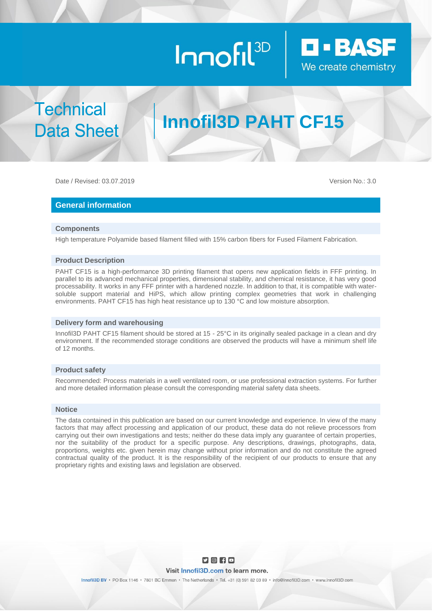# Innofil<sup>3D</sup>



**Technical Data Sheet** 

# **Innofil3D PAHT CF15**

Date / Revised: 03.07.2019 Version No.: 3.0

### **General information**

#### **Components**

High temperature Polyamide based filament filled with 15% carbon fibers for Fused Filament Fabrication.

#### **Product Description**

PAHT CF15 is a high-performance 3D printing filament that opens new application fields in FFF printing. In parallel to its advanced mechanical properties, dimensional stability, and chemical resistance, it has very good processability. It works in any FFF printer with a hardened nozzle. In addition to that, it is compatible with watersoluble support material and HiPS, which allow printing complex geometries that work in challenging environments. PAHT CF15 has high heat resistance up to 130 °C and low moisture absorption.

#### **Delivery form and warehousing**

Innofil3D PAHT CF15 filament should be stored at 15 - 25°C in its originally sealed package in a clean and dry environment. If the recommended storage conditions are observed the products will have a minimum shelf life of 12 months.

### **Product safety**

Recommended: Process materials in a well ventilated room, or use professional extraction systems. For further and more detailed information please consult the corresponding material safety data sheets.

#### **Notice**

The data contained in this publication are based on our current knowledge and experience. In view of the many factors that may affect processing and application of our product, these data do not relieve processors from carrying out their own investigations and tests; neither do these data imply any guarantee of certain properties, nor the suitability of the product for a specific purpose. Any descriptions, drawings, photographs, data, proportions, weights etc. given herein may change without prior information and do not constitute the agreed contractual quality of the product. It is the responsibility of the recipient of our products to ensure that any proprietary rights and existing laws and legislation are observed.

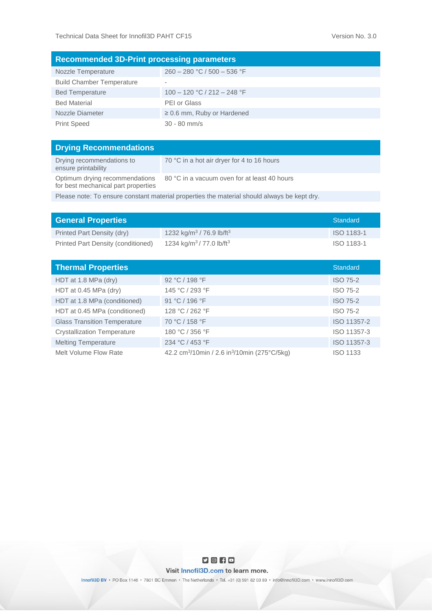| <b>Recommended 3D-Print processing parameters</b> |                                 |  |  |
|---------------------------------------------------|---------------------------------|--|--|
| Nozzle Temperature                                | $260 - 280$ °C / 500 - 536 °F   |  |  |
| <b>Build Chamber Temperature</b>                  | $\overline{\phantom{a}}$        |  |  |
| <b>Bed Temperature</b>                            | $100 - 120$ °C / 212 - 248 °F   |  |  |
| <b>Bed Material</b>                               | PEI or Glass                    |  |  |
| Nozzle Diameter                                   | $\geq$ 0.6 mm, Ruby or Hardened |  |  |
| <b>Print Speed</b>                                | $30 - 80$ mm/s                  |  |  |

| <b>Drying Recommendations</b>                                         |                                              |
|-----------------------------------------------------------------------|----------------------------------------------|
| Drying recommendations to<br>ensure printability                      | 70 °C in a hot air dryer for 4 to 16 hours   |
| Optimum drying recommendations<br>for best mechanical part properties | 80 °C in a vacuum oven for at least 40 hours |
|                                                                       |                                              |

Please note: To ensure constant material properties the material should always be kept dry.

| <b>General Properties</b>          |                                                  | Standard   |
|------------------------------------|--------------------------------------------------|------------|
| Printed Part Density (dry)         | 1232 kg/m <sup>3</sup> / 76.9 lb/ft <sup>3</sup> | ISO 1183-1 |
| Printed Part Density (conditioned) | 1234 kg/m <sup>3</sup> / 77.0 lb/ft <sup>3</sup> | ISO 1183-1 |

| <b>Thermal Properties</b>           |                                                                      | <b>Standard</b> |
|-------------------------------------|----------------------------------------------------------------------|-----------------|
| HDT at 1.8 MPa (dry)                | 92 °C / 198 °F                                                       | <b>ISO 75-2</b> |
| HDT at 0.45 MPa (dry)               | 145 °C / 293 °F                                                      | <b>ISO 75-2</b> |
| HDT at 1.8 MPa (conditioned)        | 91 °C / 196 °F                                                       | <b>ISO 75-2</b> |
| HDT at 0.45 MPa (conditioned)       | 128 °C / 262 °F                                                      | <b>ISO 75-2</b> |
| <b>Glass Transition Temperature</b> | 70 °C / 158 °F                                                       | ISO 11357-2     |
| <b>Crystallization Temperature</b>  | 180 °C / 356 °F                                                      | ISO 11357-3     |
| <b>Melting Temperature</b>          | 234 °C / 453 °F                                                      | ISO 11357-3     |
| Melt Volume Flow Rate               | 42.2 cm <sup>3</sup> /10min / 2.6 in <sup>3</sup> /10min (275°C/5kg) | <b>ISO 1133</b> |

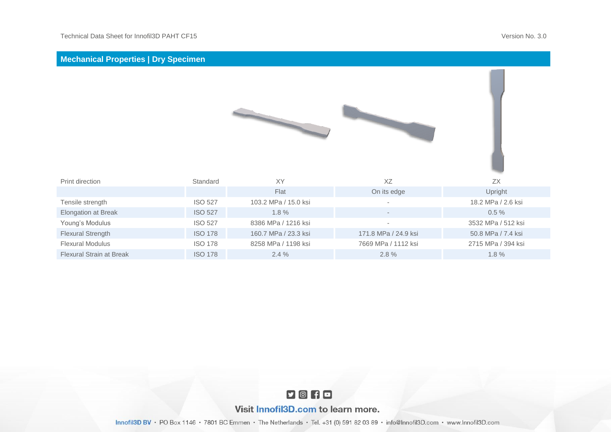| <b>Mechanical Properties   Dry Specimen</b> |                |                      |                      |                    |
|---------------------------------------------|----------------|----------------------|----------------------|--------------------|
|                                             |                |                      |                      |                    |
| Print direction                             | Standard       | <b>XY</b>            | XZ                   | ZX                 |
|                                             |                | Flat                 | On its edge          | Upright            |
| Tensile strength                            | <b>ISO 527</b> | 103.2 MPa / 15.0 ksi |                      | 18.2 MPa / 2.6 ksi |
| Elongation at Break                         | <b>ISO 527</b> | 1.8%                 |                      | $0.5 \%$           |
| Young's Modulus                             | <b>ISO 527</b> | 8386 MPa / 1216 ksi  | ٠                    | 3532 MPa / 512 ksi |
| Flexural Strength                           | <b>ISO 178</b> | 160.7 MPa / 23.3 ksi | 171.8 MPa / 24.9 ksi | 50.8 MPa / 7.4 ksi |
| <b>Flexural Modulus</b>                     | <b>ISO 178</b> | 8258 MPa / 1198 ksi  | 7669 MPa / 1112 ksi  | 2715 MPa / 394 ksi |
| Flexural Strain at Break                    | <b>ISO 178</b> | 2.4%                 | 2.8%                 | 1.8%               |



## Visit Innofil3D.com to learn more.